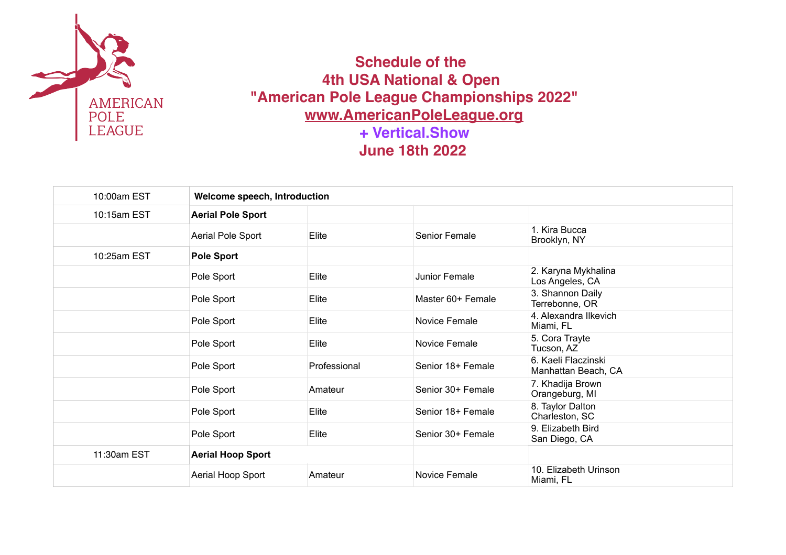

 **Schedule of the 4th USA National & Open "American Pole League Championships 2022" [www.AmericanPoleLeague.org](http://www.AmericanPoleLeague.org) + Vertical.Show June 18th 2022**

| 10:00am EST | Welcome speech, Introduction |              |                   |                                            |  |
|-------------|------------------------------|--------------|-------------------|--------------------------------------------|--|
| 10:15am EST | <b>Aerial Pole Sport</b>     |              |                   |                                            |  |
|             | Aerial Pole Sport            | Elite        | Senior Female     | 1. Kira Bucca<br>Brooklyn, NY              |  |
| 10:25am EST | <b>Pole Sport</b>            |              |                   |                                            |  |
|             | Pole Sport                   | Elite        | Junior Female     | 2. Karyna Mykhalina<br>Los Angeles, CA     |  |
|             | Pole Sport                   | Elite        | Master 60+ Female | 3. Shannon Daily<br>Terrebonne, OR         |  |
|             | Pole Sport                   | Elite        | Novice Female     | 4. Alexandra Ilkevich<br>Miami, FL         |  |
|             | Pole Sport                   | Elite        | Novice Female     | 5. Cora Trayte<br>Tucson, AZ               |  |
|             | Pole Sport                   | Professional | Senior 18+ Female | 6. Kaeli Flaczinski<br>Manhattan Beach, CA |  |
|             | Pole Sport                   | Amateur      | Senior 30+ Female | 7. Khadija Brown<br>Orangeburg, MI         |  |
|             | Pole Sport                   | Elite        | Senior 18+ Female | 8. Taylor Dalton<br>Charleston, SC         |  |
|             | Pole Sport                   | Elite        | Senior 30+ Female | 9. Elizabeth Bird<br>San Diego, CA         |  |
| 11:30am EST | <b>Aerial Hoop Sport</b>     |              |                   |                                            |  |
|             | Aerial Hoop Sport            | Amateur      | Novice Female     | 10. Elizabeth Urinson<br>Miami, FL         |  |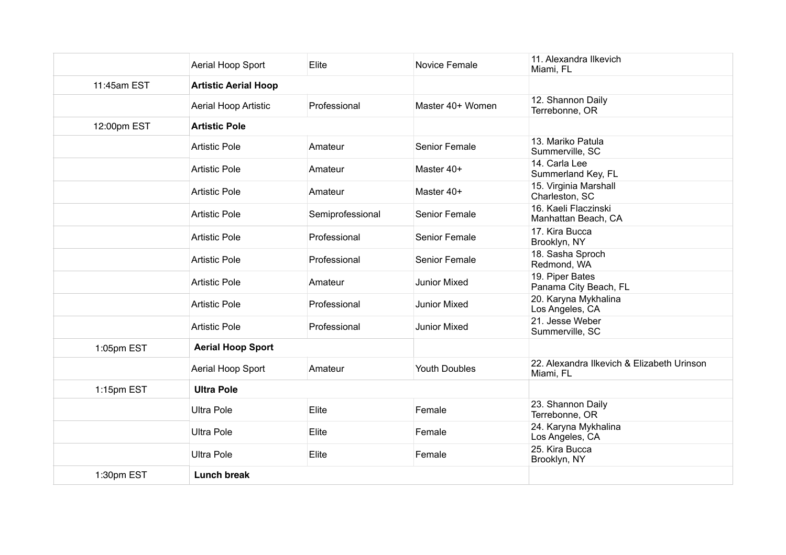|             | Aerial Hoop Sport           | Elite            | Novice Female        | 11. Alexandra Ilkevich<br>Miami, FL                     |
|-------------|-----------------------------|------------------|----------------------|---------------------------------------------------------|
| 11:45am EST | <b>Artistic Aerial Hoop</b> |                  |                      |                                                         |
|             | Aerial Hoop Artistic        | Professional     | Master 40+ Women     | 12. Shannon Daily<br>Terrebonne, OR                     |
| 12:00pm EST | <b>Artistic Pole</b>        |                  |                      |                                                         |
|             | <b>Artistic Pole</b>        | Amateur          | Senior Female        | 13. Mariko Patula<br>Summerville, SC                    |
|             | <b>Artistic Pole</b>        | Amateur          | Master 40+           | 14. Carla Lee<br>Summerland Key, FL                     |
|             | <b>Artistic Pole</b>        | Amateur          | Master 40+           | 15. Virginia Marshall<br>Charleston, SC                 |
|             | <b>Artistic Pole</b>        | Semiprofessional | <b>Senior Female</b> | 16. Kaeli Flaczinski<br>Manhattan Beach, CA             |
|             | <b>Artistic Pole</b>        | Professional     | Senior Female        | 17. Kira Bucca<br>Brooklyn, NY                          |
|             | <b>Artistic Pole</b>        | Professional     | <b>Senior Female</b> | 18. Sasha Sproch<br>Redmond, WA                         |
|             | <b>Artistic Pole</b>        | Amateur          | <b>Junior Mixed</b>  | 19. Piper Bates<br>Panama City Beach, FL                |
|             | <b>Artistic Pole</b>        | Professional     | <b>Junior Mixed</b>  | 20. Karyna Mykhalina<br>Los Angeles, CA                 |
|             | <b>Artistic Pole</b>        | Professional     | <b>Junior Mixed</b>  | 21. Jesse Weber<br>Summerville, SC                      |
| 1:05pm EST  | <b>Aerial Hoop Sport</b>    |                  |                      |                                                         |
|             | Aerial Hoop Sport           | Amateur          | <b>Youth Doubles</b> | 22. Alexandra Ilkevich & Elizabeth Urinson<br>Miami, FL |
| 1:15pm EST  | <b>Ultra Pole</b>           |                  |                      |                                                         |
|             | <b>Ultra Pole</b>           | Elite            | Female               | 23. Shannon Daily<br>Terrebonne, OR                     |
|             | <b>Ultra Pole</b>           | Elite            | Female               | 24. Karyna Mykhalina<br>Los Angeles, CA                 |
|             | <b>Ultra Pole</b>           | Elite            | Female               | 25. Kira Bucca<br>Brooklyn, NY                          |
| 1:30pm EST  | <b>Lunch break</b>          |                  |                      |                                                         |